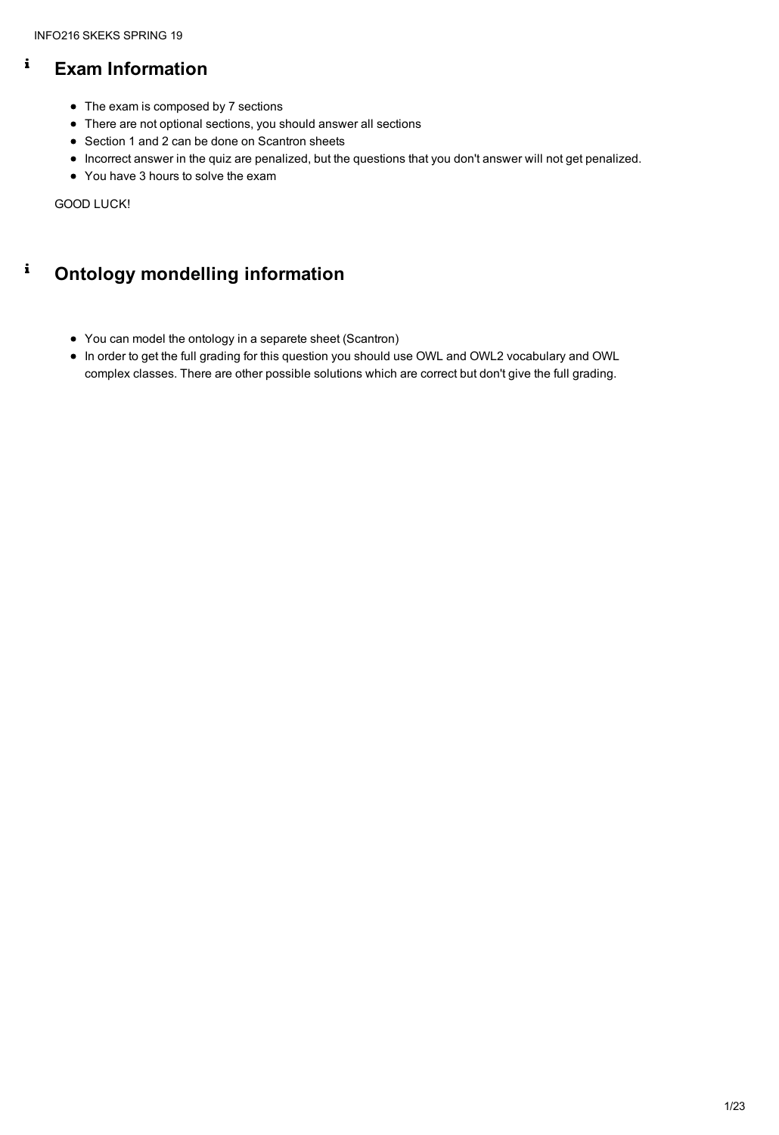#### $\mathbf{i}$ **Exam Information**

- The exam is composed by 7 sections
- There are not optional sections, you should answer all sections
- Section 1 and 2 can be done on Scantron sheets
- Incorrect answer in the quiz are penalized, but the questions that you don't answer will not get penalized.
- You have 3 hours to solve the exam

#### $\mathbf{i}$ **Ontology mondelling information**

GOOD LUCK!

- You can model the ontology in a separete sheet (Scantron)
- In order to get the full grading for this question you should use OWL and OWL2 vocabulary and OWL complex classes. There are other possible solutions which are correct but don't give the full grading.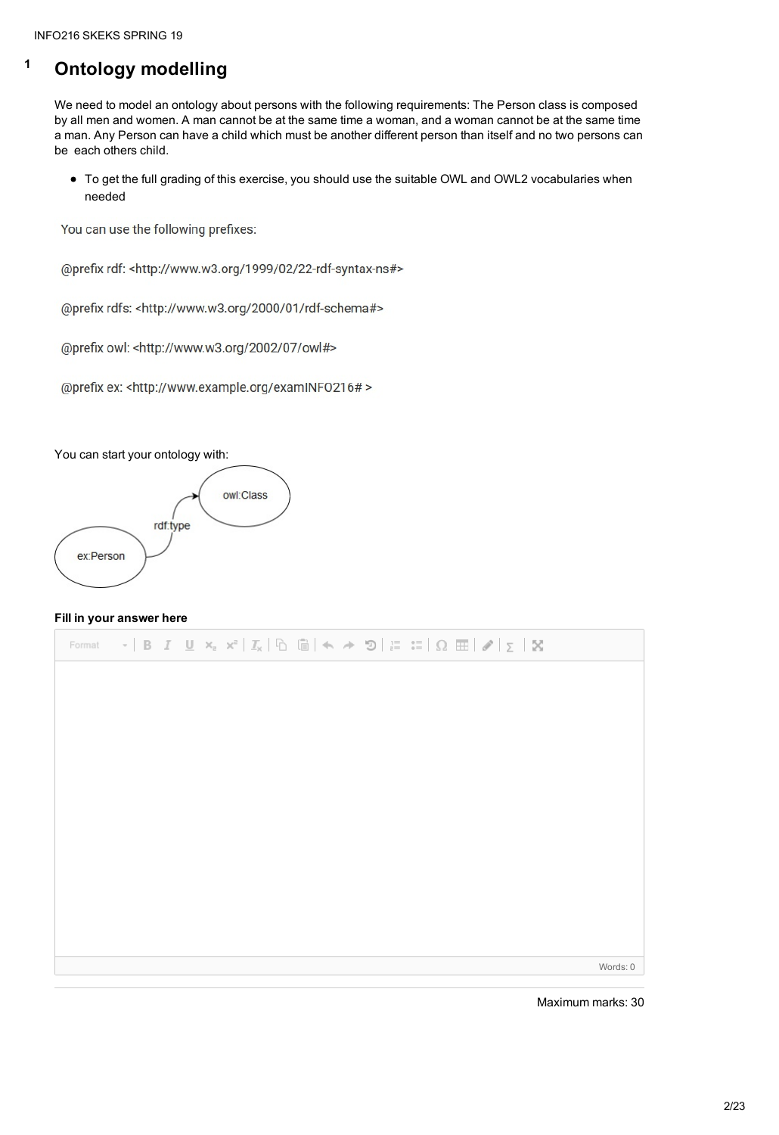## **<sup>1</sup> Ontology modelling**

We need to model an ontology about persons with the following requirements: The Person class is composed by all men and women. A man cannot be at the same time a woman, and a woman cannot be at the same time a man. Any Person can have a child which must be another different person than itself and no two persons can be each others child.

To get the full grading of this exercise, you should use the suitable OWL and OWL2 vocabularies when needed

You can use the following prefixes:

@prefix rdf: <http://www.w3.org/1999/02/22-rdf-syntax-ns#>

@prefix rdfs: <http://www.w3.org/2000/01/rdf-schema#>

@prefix owl: <http://www.w3.org/2002/07/owl#>

@prefix ex: <http://www.example.org/examINFO216# >

You can start your ontology with:



#### **Fill in your answer here**

 $\star$  | B  $I$   $\mathbf{U}$   $\mathbf{x}_z$   $\mathbf{x}^z$  |  $T_x$  |  $\mathbf{U}$   $\mathbf{U}$  |  $\mathbf{U}$   $\mathbf{V}$  |  $\mathbf{V}$   $\mathbf{U}$  |  $\mathbf{V}$  |  $\mathbf{V}$  |  $\mathbf{V}$  |  $\mathbf{V}$  |  $\mathbf{V}$  |  $\mathbf{V}$  |  $\mathbf{V}$  |  $\mathbf{V}$  |  $\mathbf{V}$  |  $\mathbf{V}$ Format

Words: 0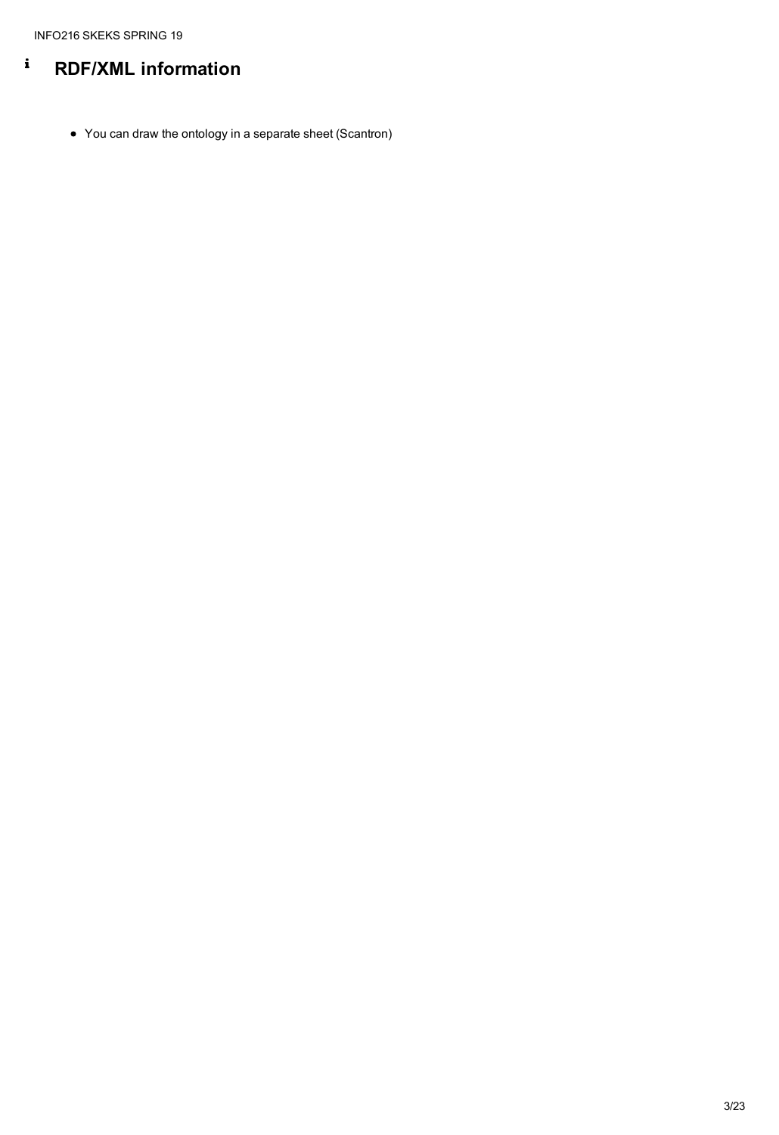#### $\mathbf{i}$ **RDF/XML information**

• You can draw the ontology in a separate sheet (Scantron)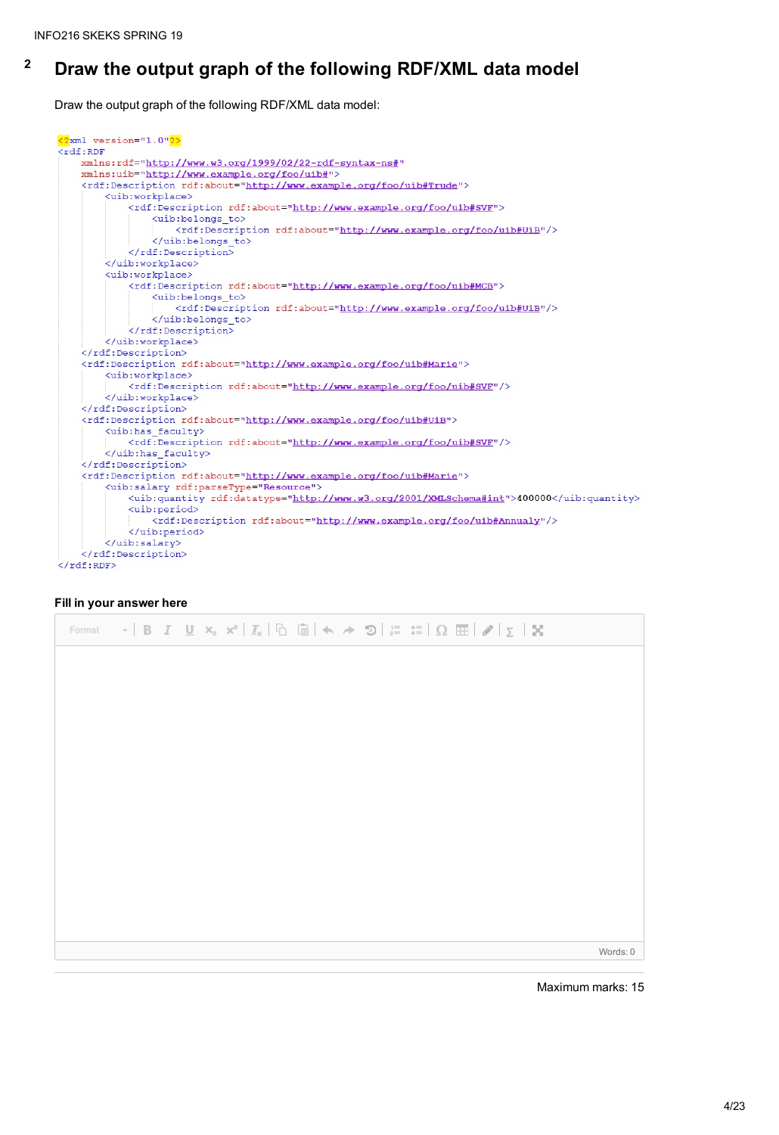## **<sup>2</sup> Draw the output graph of the following RDF/XML data model**

Draw the output graph of the following RDF/XML data model:

```
<?xml version="1.0"?>
<rdf:RDF
   xmlns:rdf="http://www.w3.org/1999/02/22-rdf-syntax-ns#"
   xmlns:uib="http://www.example.org/foo/uib#">
    <rdf:Description rdf:about="http://www.example.org/foo/uib#Trude">
        <uib:workplace>
            <rdf:Description rdf:about="http://www.example.org/foo/uib#SVF">
                <uib:belongs to>
                    <rdf:Description rdf:about="http://www.example.org/foo/uib#UiB"/>
                </uib:belongs to>
            </rdf:Description>
        </uib:workplace>
        <uib:workplace>
            <rdf:Description rdf:about="http://www.example.org/foo/uib#MCB">
                <uib:belongs to>
                    <rdf:Description rdf:about="http://www.example.org/foo/uib#UiB"/>
                </uib:belongs to>
            </rdf:Description>
        </uib:workplace>
    </rdf:Description>
    <rdf:Description rdf:about="http://www.example.org/foo/uib#Marie">
        <uib:workplace>
            <rdf:Description rdf:about="http://www.example.org/foo/uib#SVF"/>
        </uib:workplace>
    </rdf:Description>
    <rdf:Description rdf:about="http://www.example.org/foo/uib#UiB">
        <uib:has faculty>
            <rdf:Description rdf:about="http://www.example.org/foo/uib#SVF"/>
       </uib:has faculty>
    </rdf:Description>
    <rdf:Description rdf:about="http://www.example.org/foo/uib#Marie">
        <uib:salary rdf:parseType="Resource">
            <uib:quantity rdf:datatype="http://www.w3.org/2001/XMLSchema#int">400000</uib:quantity>
            <uib:period>
                <rdf:Description rdf:about="http://www.example.org/foo/uib#Annualy"/>
            </uib:period>
        </uib:salary>
    </rdf:Description>
\langle/rdf:RDF>
```
#### **Fill in your answer here**

| Format $\cdot$   B $I$ U $\mathsf{x}_z$ $\mathsf{x}^z$   $\mathcal{I}_\mathsf{x}$   $\odot$   $\odot$   $\mathsf{A} \rightarrow \mathsf{D}$   $\mathsf{I} \equiv \mathsf{I} \equiv$   $\Omega \equiv$   $\mathscr{D}$   $\mathsf{I}_\mathsf{X}$   $\mathsf{X}$ |  |  |  |  |  |  |  |  |  |  |  |  |  |  |  |  |  |  |  |
|----------------------------------------------------------------------------------------------------------------------------------------------------------------------------------------------------------------------------------------------------------------|--|--|--|--|--|--|--|--|--|--|--|--|--|--|--|--|--|--|--|
|----------------------------------------------------------------------------------------------------------------------------------------------------------------------------------------------------------------------------------------------------------------|--|--|--|--|--|--|--|--|--|--|--|--|--|--|--|--|--|--|--|

Words: 0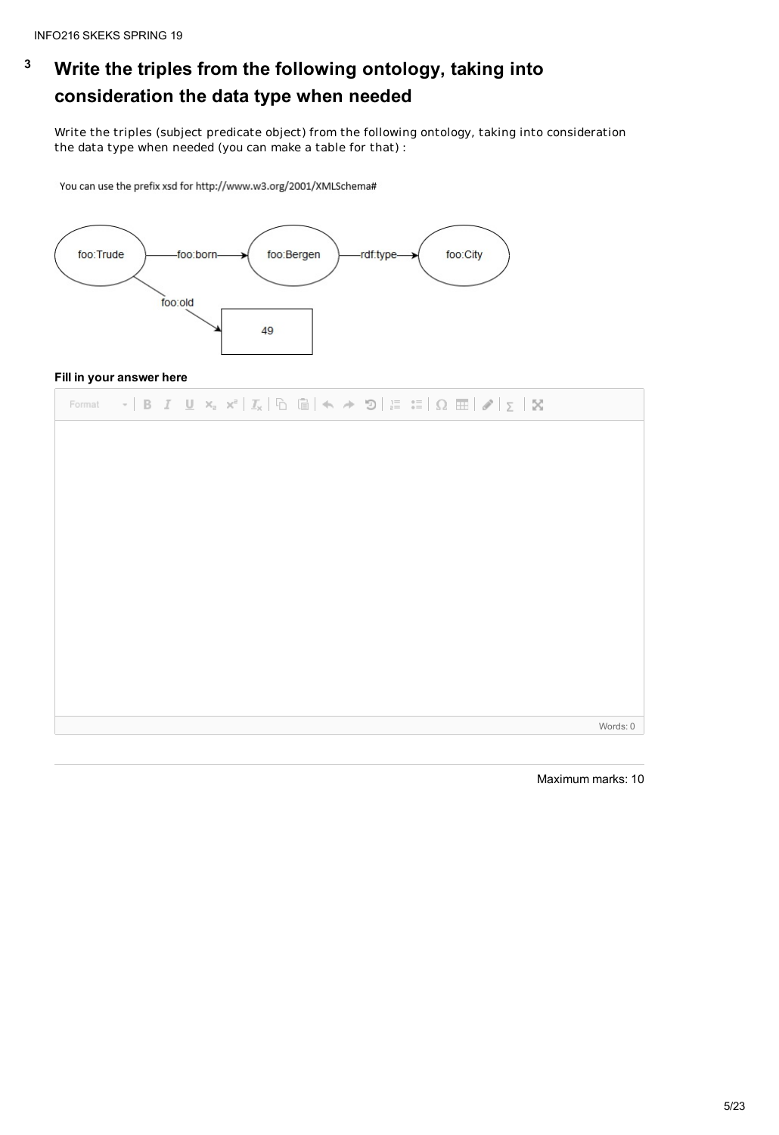# **<sup>3</sup> Write the triples from the following ontology, taking into consideration the data type when needed**

Write the triples (subject predicate object) from the following ontology, taking into consideration the data type when needed (you can make a table for that) :

You can use the prefix xsd for http://www.w3.org/2001/XMLSchema#



#### **Fill in your answer here**

| Format $\mathbf{v}$   B $I$ U $\mathbf{x}_z$ $\mathbf{x}^z$   $\mathcal{I}_x$   $\odot$   $\odot$   $\mathbf{w}$ $\mathbf{w}$   $\mathbf{v}$   $\mathbf{x}_z$   $\mathbf{x}_z$   $\mathcal{I}_x$   $\odot$   $\odot$   $\mathbf{w}$   $\mathbf{w}$   $\mathbf{x}_z$   $\mathbf{x}_z$   $\mathbf{x}_z$   $\mathbf{w}$ |
|----------------------------------------------------------------------------------------------------------------------------------------------------------------------------------------------------------------------------------------------------------------------------------------------------------------------|
|                                                                                                                                                                                                                                                                                                                      |
|                                                                                                                                                                                                                                                                                                                      |
|                                                                                                                                                                                                                                                                                                                      |
|                                                                                                                                                                                                                                                                                                                      |
|                                                                                                                                                                                                                                                                                                                      |
|                                                                                                                                                                                                                                                                                                                      |
|                                                                                                                                                                                                                                                                                                                      |
|                                                                                                                                                                                                                                                                                                                      |

Words: 0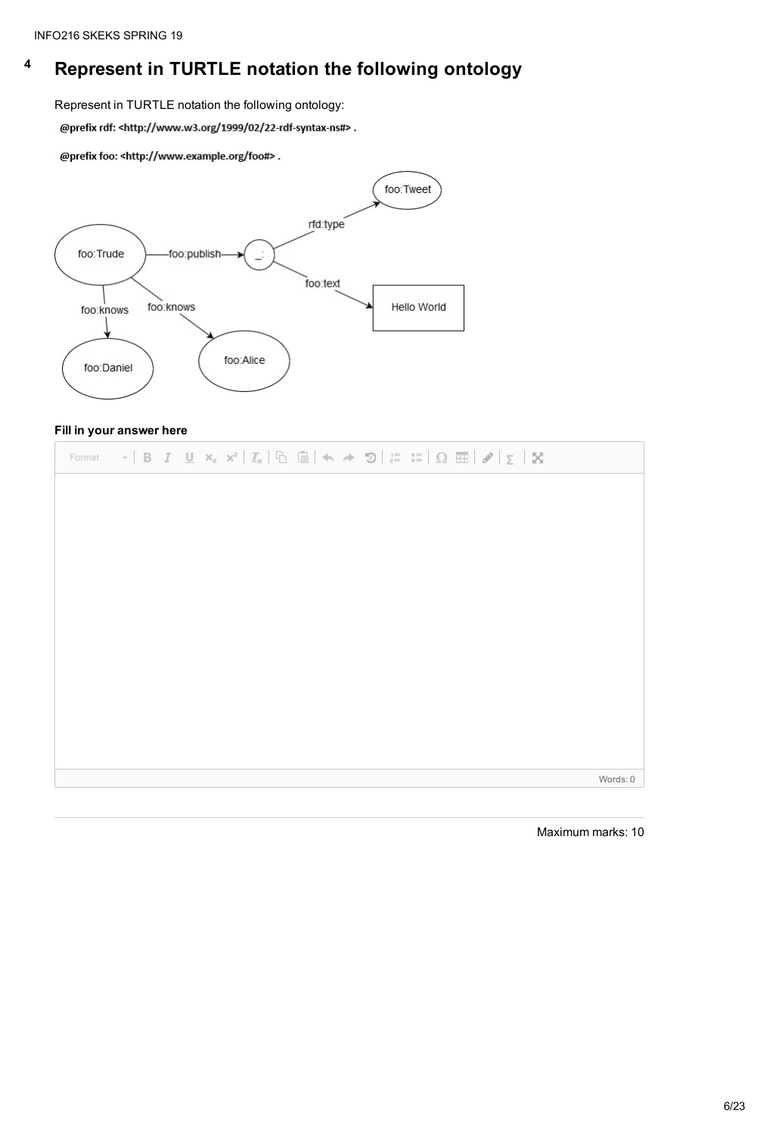## **<sup>4</sup> Represent in TURTLE notation the following ontology**

Represent in TURTLE notation the following ontology:

@prefix rdf: <http://www.w3.org/1999/02/22-rdf-syntax-ns#>.

@prefix foo: <http://www.example.org/foo#>.



#### **Fill in your answer here**



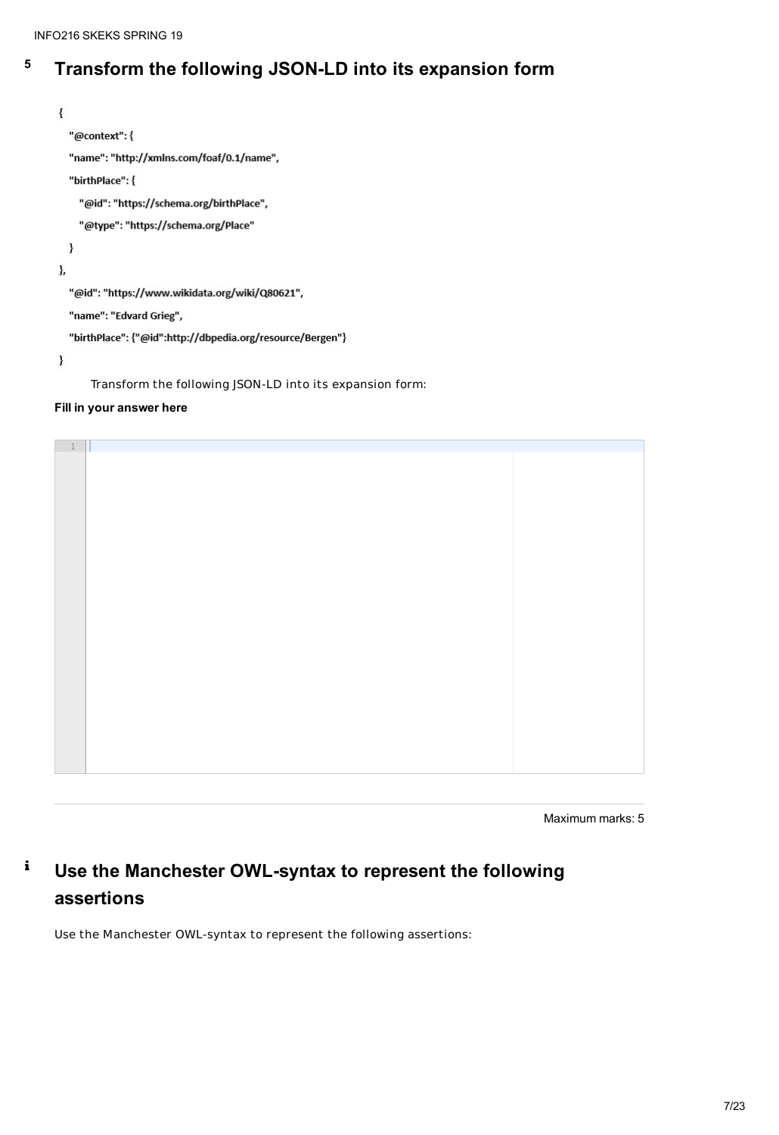## **<sup>5</sup> Transform the following JSON-LD into its expansion form**

```
₹
  "@context": {
  "name": "http://xmlns.com/foaf/0.1/name",
  "birthPlace": {
    "@id": "https://schema.org/birthPlace",
    "@type": "https://schema.org/Place"
  ł
},
  "@id": "https://www.wikidata.org/wiki/Q80621",
  "name": "Edvard Grieg",
  "birthPlace": {"@id":http://dbpedia.org/resource/Bergen"}
}
```
Transform the following JSON-LD into its expansion form:

#### $\mathbf i$ **Use the Manchester OWL-syntax to represent the following assertions**

#### **Fill in your answer here**

Maximum marks: 5

Use the Manchester OWL-syntax to represent the following assertions:



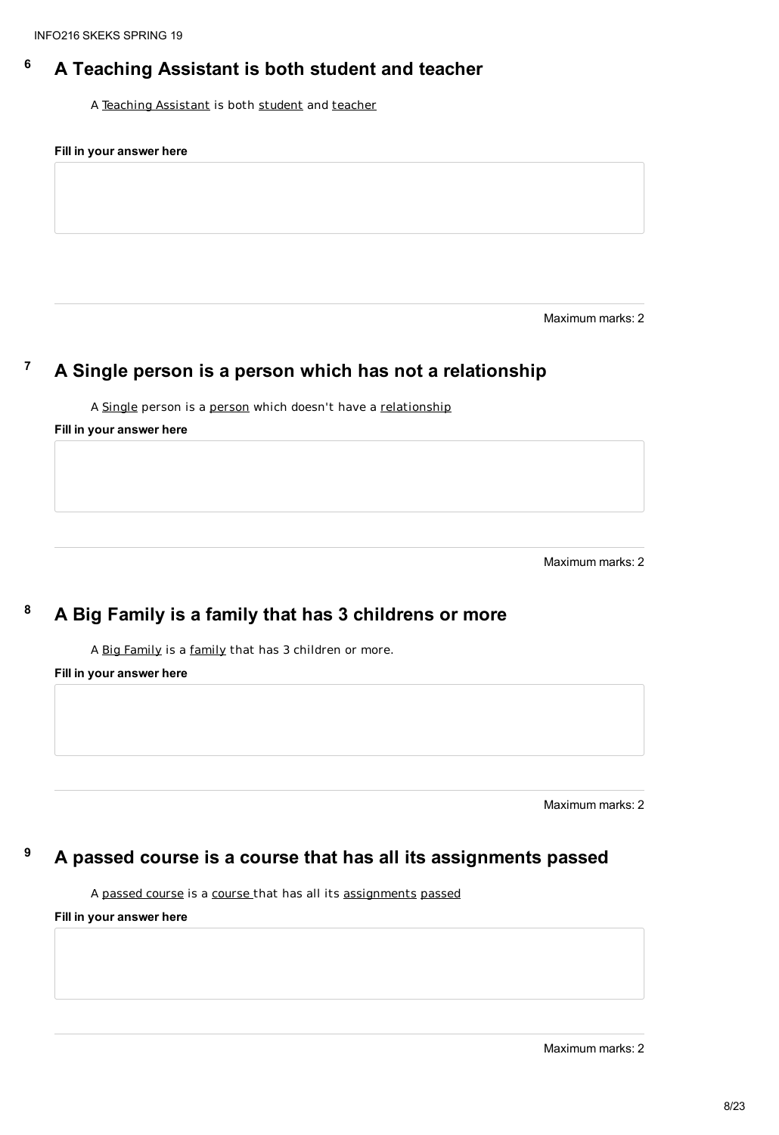### **<sup>6</sup> A Teaching Assistant is both student and teacher**

A Teaching Assistant is both student and teacher

#### **Fill in your answer here**

Maximum marks: 2

### **<sup>7</sup> A Single person is a person which has not a relationship**

A Single person is a person which doesn't have a relationship

#### **Fill in your answer here**

Maximum marks: 2

### **<sup>8</sup> A Big Family is a family that has 3 childrens or more**

A Big Family is a family that has 3 children or more.

**Fill in your answer here**

Maximum marks: 2

## **<sup>9</sup> A passed course is a course that has all its assignments passed**

A passed course is a course that has all its assignments passed

**Fill in your answer here**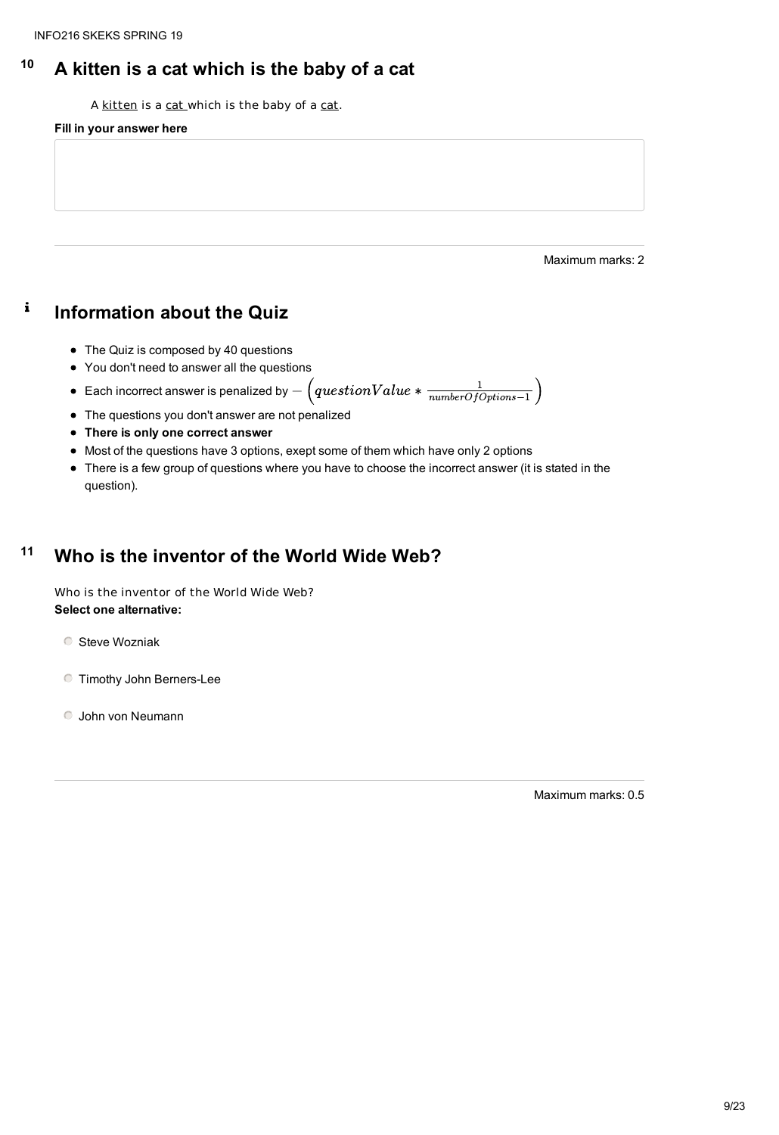### **<sup>10</sup> A kitten is a cat which is the baby of a cat**

A kitten is a cat which is the baby of a cat.

#### $\mathbf{i}$ **Information about the Quiz**

#### **Fill in your answer here**

Maximum marks: 2

- The Quiz is composed by 40 questions
- You don't need to answer all the questions
- $\bullet \ \ \textsf{\texttt{Each incorrect} }$  answer is penalized by  $-\left( questionValue * \frac{1}{numberOfOptions 1}\right)$
- The questions you don't answer are not penalized
- **There is only one correct answer**
- Most of the questions have 3 options, exept some of them which have only 2 options
- There is a few group of questions where you have to choose the incorrect answer (it is stated in the question).

#### **<sup>11</sup> Who is the inventor of the World Wide Web?**

Who is the inventor of the World Wide Web? **Select one alternative:**

**C** Steve Wozniak

Timothy John Berners-Lee

- 
- John von Neumann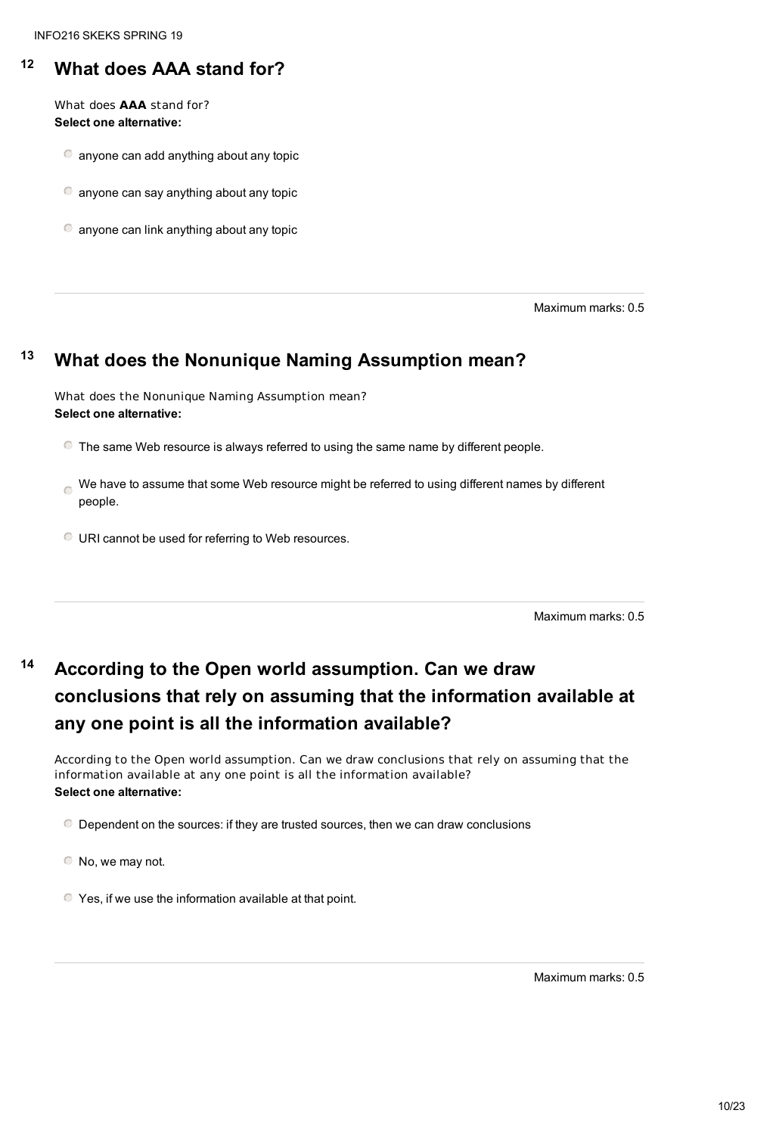### **<sup>12</sup> What does AAA stand for?**

What does **AAA** stand for? **Select one alternative:**

anyone can add anything about any topic

anyone can say anything about any topic

anyone can link anything about any topic

Maximum marks: 0.5

#### **<sup>13</sup> What does the Nonunique Naming Assumption mean?**

What does the Nonunique Naming Assumption mean? **Select one alternative:**

The same Web resource is always referred to using the same name by different people.

We have to assume that some Web resource might be referred to using different names by different people.

URI cannot be used for referring to Web resources.

Maximum marks: 0.5

#### **<sup>14</sup> According to the Open world assumption. Can we draw**

# **conclusions that rely on assuming that the information available at any one point is all the information available?**

According to the Open world assumption. Can we draw conclusions that rely on assuming that the information available at any one point is all the information available?

#### **Select one alternative:**

Dependent on the sources: if they are trusted sources, then we can draw conclusions

 $\bullet$  No, we may not.

Yes, if we use the information available at that point.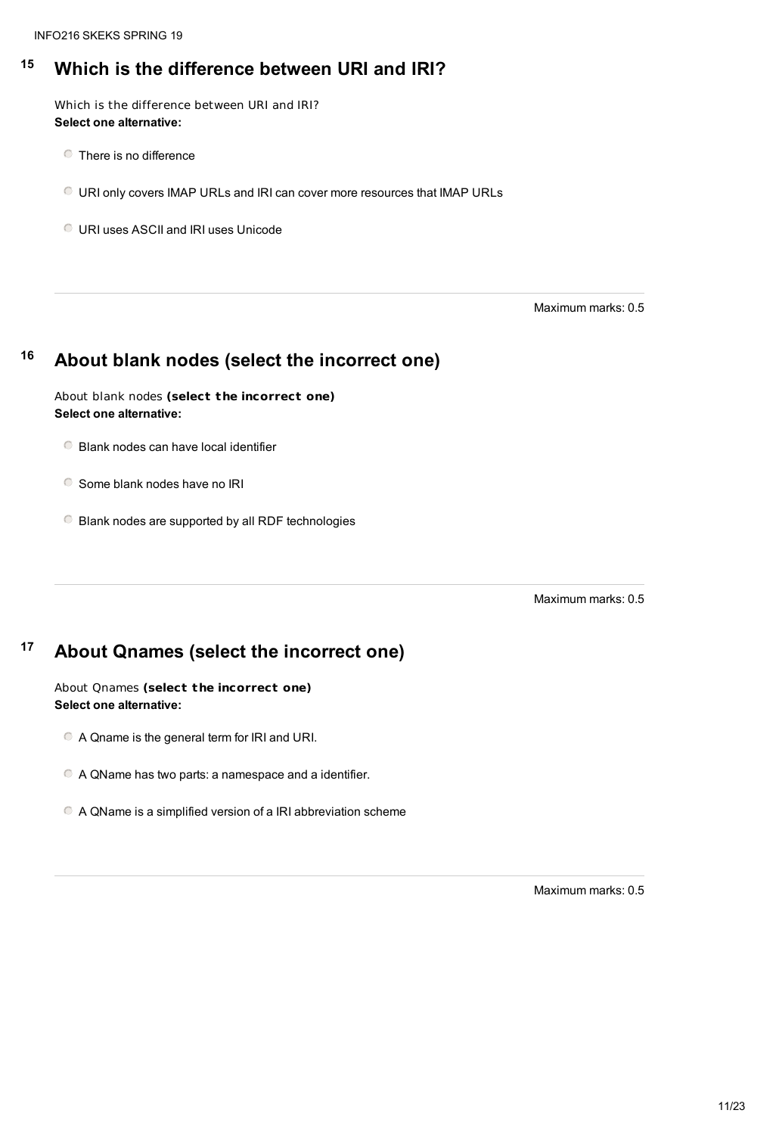### **<sup>15</sup> Which is the difference between URI and IRI?**

Which is the difference between URI and IRI? **Select one alternative:**

- **C** There is no difference
- URI only covers IMAP URLs and IRI can cover more resources that IMAP URLs

URI uses ASCII and IRI uses Unicode

- **Blank nodes can have local identifier**
- G Some blank nodes have no IRI
- Blank nodes are supported by all RDF technologies

Maximum marks: 0.5

### **<sup>16</sup> About blank nodes (select the incorrect one)**

#### About blank nodes **(select the incorrect one) Select one alternative:**

Maximum marks: 0.5

#### **<sup>17</sup> About Qnames (select the incorrect one)**

#### About Qnames **(select the incorrect one) Select one alternative:**

A Qname is the general term for IRI and URI.

A QName has two parts: a namespace and a identifier.

A QName is a simplified version of a IRI abbreviation scheme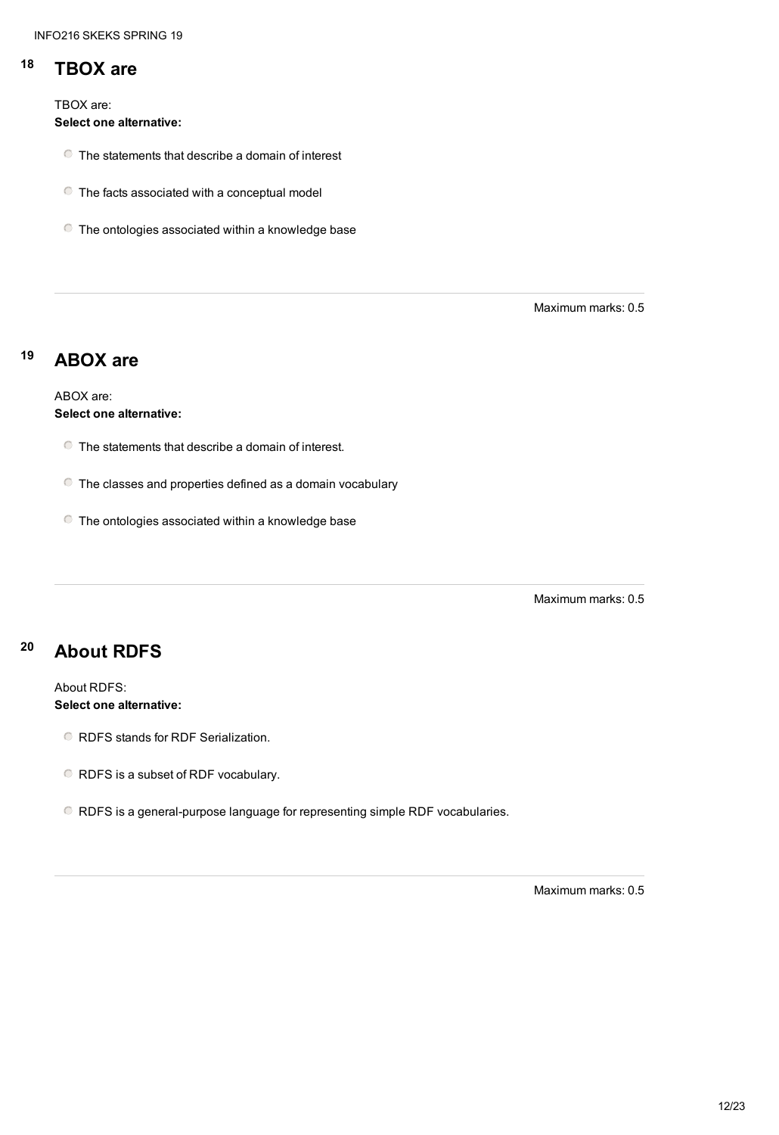## **<sup>18</sup> TBOX are**

TBOX are:

**Select one alternative:**

- The statements that describe a domain of interest
- The facts associated with a conceptual model
- The ontologies associated within a knowledge base

Maximum marks: 0.5

## **<sup>19</sup> ABOX are**

ABOX are: **Select one alternative:**

- The statements that describe a domain of interest.
- The classes and properties defined as a domain vocabulary
- The ontologies associated within a knowledge base

Maximum marks: 0.5

## **<sup>20</sup> About RDFS**

#### About RDFS:

#### **Select one alternative:**

- RDFS stands for RDF Serialization.
- RDFS is a subset of RDF vocabulary.
- RDFS is a general-purpose language for representing simple RDF vocabularies.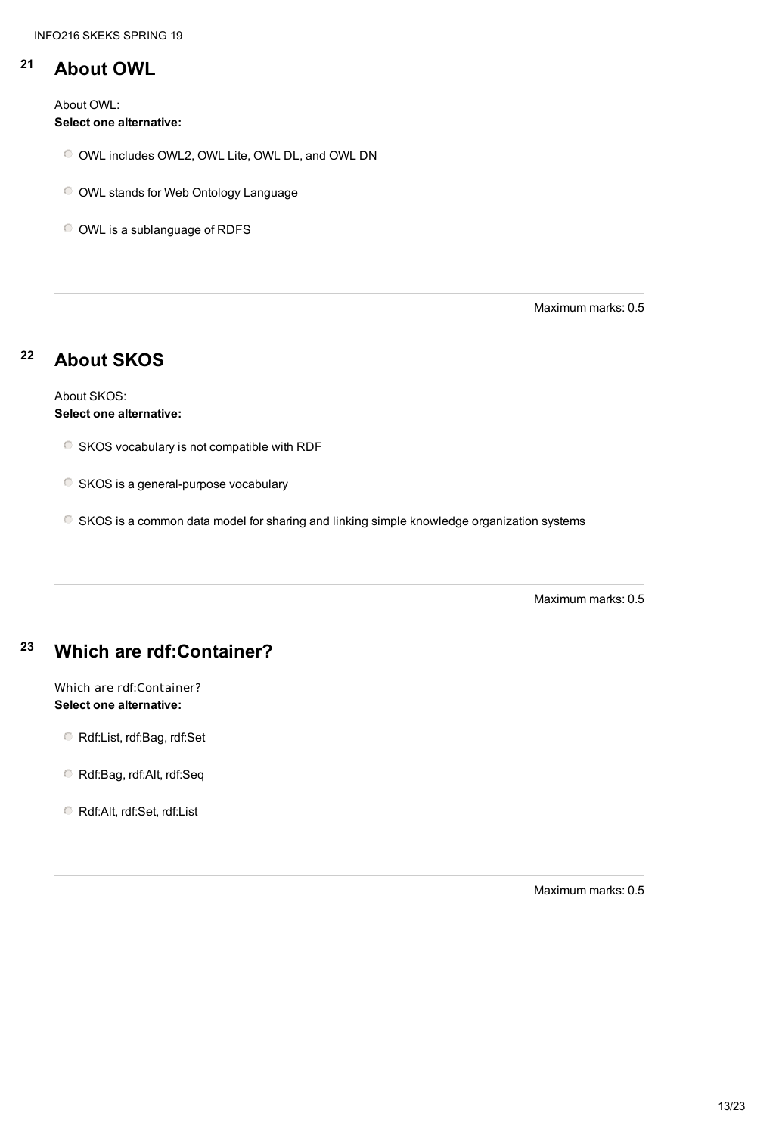#### **<sup>21</sup> About OWL**

About OWL: **Select one alternative:**

- OWL includes OWL2, OWL Lite, OWL DL, and OWL DN
- OWL stands for Web Ontology Language

OWL is a sublanguage of RDFS

Maximum marks: 0.5

## **<sup>22</sup> About SKOS**

About SKOS: **Select one alternative:**

- SKOS vocabulary is not compatible with RDF
- **SKOS** is a general-purpose vocabulary
- SKOS is a common data model for sharing and linking simple knowledge organization systems

Maximum marks: 0.5

### **<sup>23</sup> Which are rdf:Container?**

#### Which are rdf:Container? **Select one alternative:**

Rdf:List, rdf:Bag, rdf:Set

Rdf:Bag, rdf:Alt, rdf:Seq

Rdf:Alt, rdf:Set, rdf:List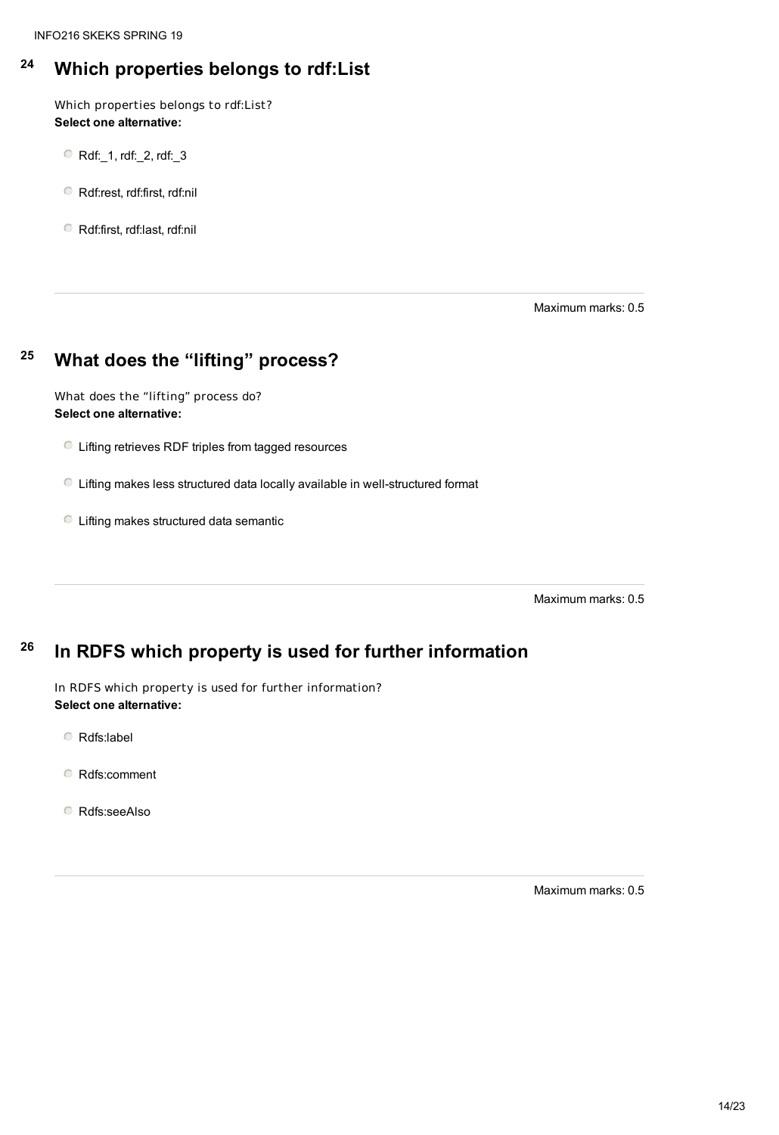### **<sup>24</sup> Which properties belongs to rdf:List**

Which properties belongs to rdf:List? **Select one alternative:**

- Rdf:\_1, rdf:\_2, rdf:\_3
- Rdf:rest, rdf:first, rdf:nil

Rdf:first, rdf:last, rdf:nil

Maximum marks: 0.5

### **<sup>25</sup> What does the "lifting" process?**

What does the "lifting" process do? **Select one alternative:**

- Lifting retrieves RDF triples from tagged resources
- Lifting makes less structured data locally available in well-structured format
- Lifting makes structured data semantic

Maximum marks: 0.5

#### **26 In RDFS which property is used for further information**

In RDFS which property is used for further information? **Select one alternative:**

Rdfs:label

Rdfs:comment

Rdfs:seeAlso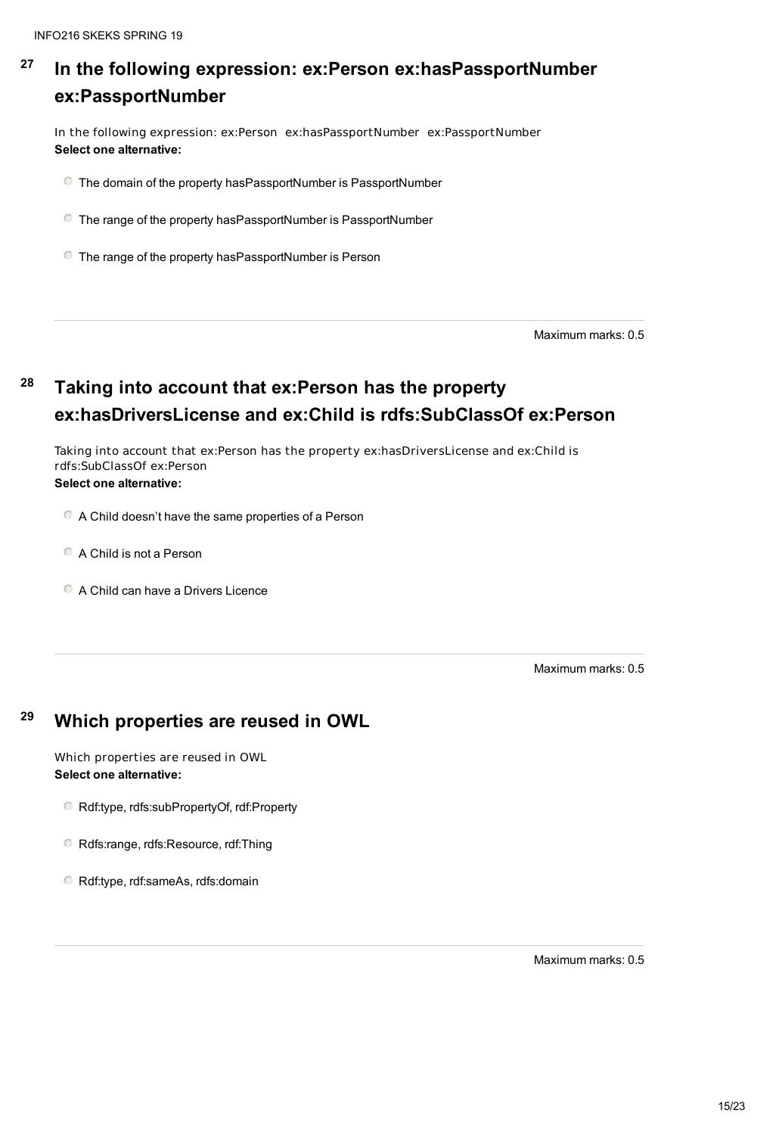#### **27 In the following expression: ex:Person ex:hasPassportNumber ex:PassportNumber**

In the following expression: ex:Person ex:hasPassportNumber ex:PassportNumber **Select one alternative:**

The domain of the property hasPassportNumber is PassportNumber

The range of the property hasPassportNumber is PassportNumber

- A Child doesn't have the same properties of a Person
- A Child is not a Person
- C A Child can have a Drivers Licence

The range of the property hasPassportNumber is Person

Maximum marks: 0.5

# **<sup>28</sup> Taking into account that ex:Person has the property ex:hasDriversLicense and ex:Child is rdfs:SubClassOf ex:Person**

Taking into account that ex:Person has the property ex:hasDriversLicense and ex:Child is rdfs:SubClassOf ex:Person **Select one alternative:**

## **<sup>29</sup> Which properties are reused in OWL**

Which properties are reused in OWL **Select one alternative:**

Rdf:type, rdfs:subPropertyOf, rdf:Property

Rdfs:range, rdfs:Resource, rdf:Thing

Rdf:type, rdf:sameAs, rdfs:domain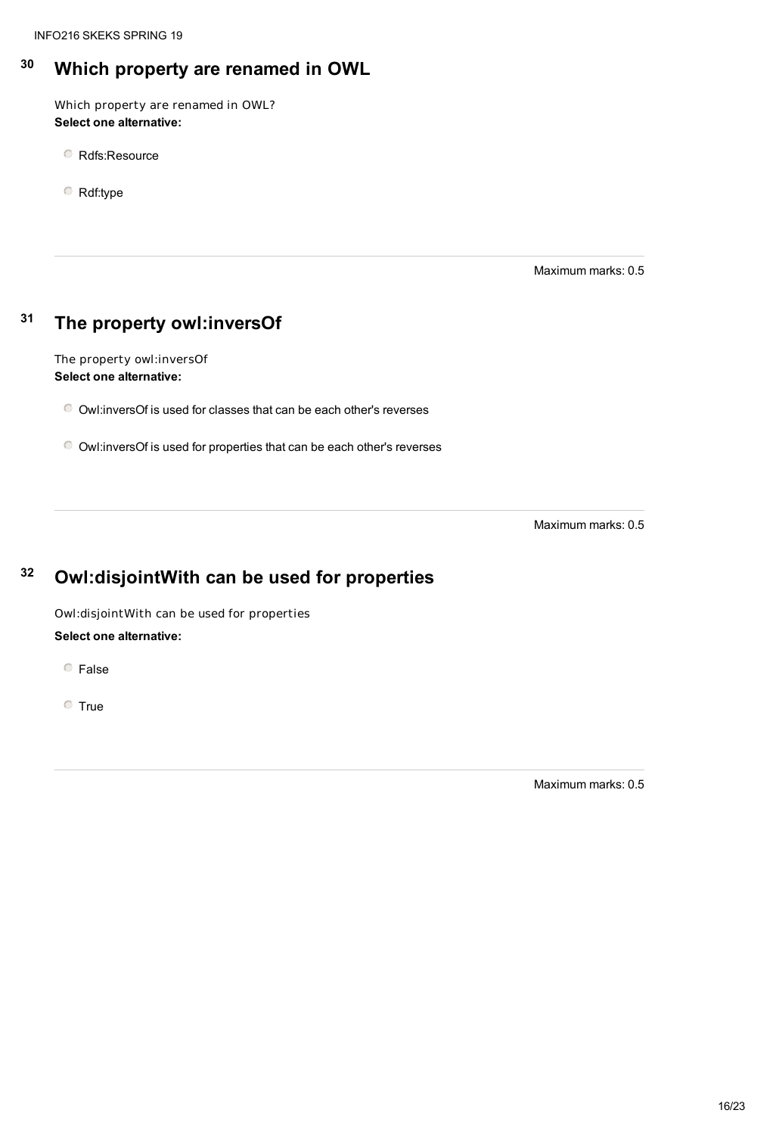## **<sup>30</sup> Which property are renamed in OWL**

Which property are renamed in OWL? **Select one alternative:**

Rdfs:Resource

Rdf:type

Maximum marks: 0.5

### **<sup>31</sup> The property owl:inversOf**

The property owl:inversOf **Select one alternative:**

Owl:inversOf is used for classes that can be each other's reverses

Owl:inversOf is used for properties that can be each other's reverses

Maximum marks: 0.5

## **<sup>32</sup> Owl:disjointWith can be used for properties**

Owl:disjointWith can be used for properties

**Select one alternative:**

False

**O** True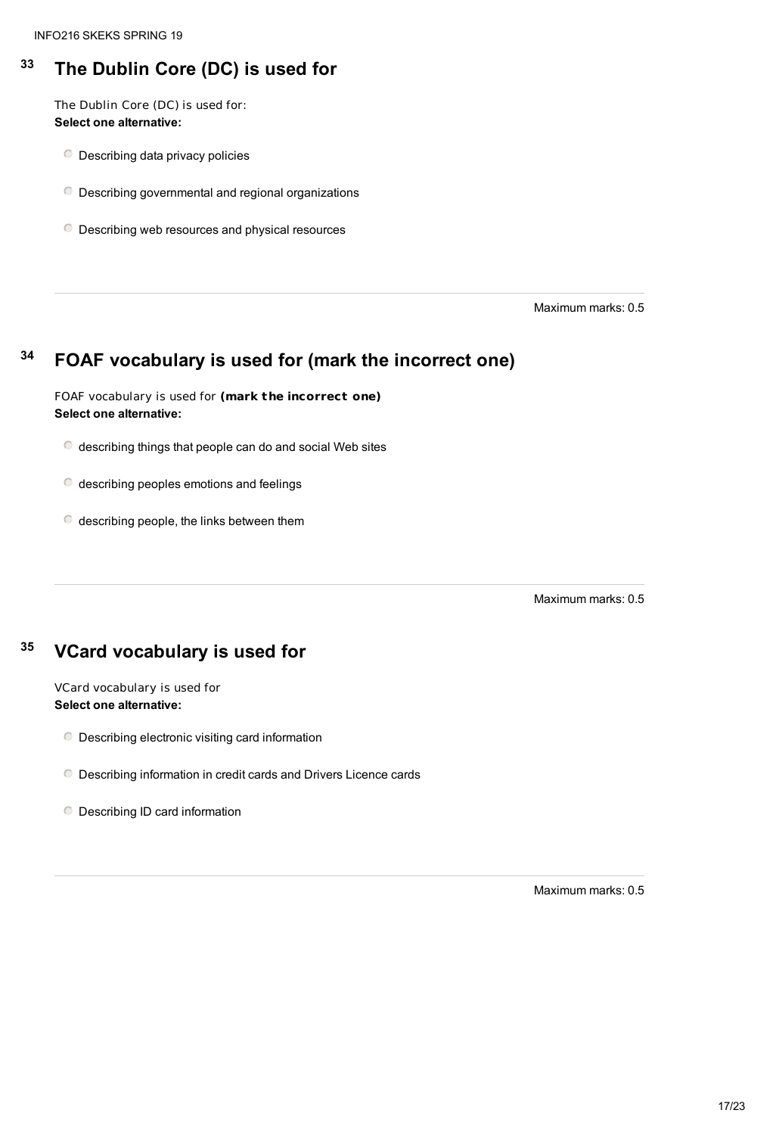## **<sup>33</sup> The Dublin Core (DC) is used for**

The Dublin Core (DC) is used for: **Select one alternative:**

- Describing data privacy policies
- Describing governmental and regional organizations
- Describing web resources and physical resources

- describing peoples emotions and feelings
- $\bullet$  describing people, the links between them

Maximum marks: 0.5

### **<sup>34</sup> FOAF vocabulary is used for (mark the incorrect one)**

- Describing electronic visiting card information
- Describing information in credit cards and Drivers Licence cards
- O Describing ID card information

FOAF vocabulary is used for **(mark the incorrect one) Select one alternative:**

 $\bullet$  describing things that people can do and social Web sites

Maximum marks: 0.5

#### VCard vocabulary is used for **Select one alternative:**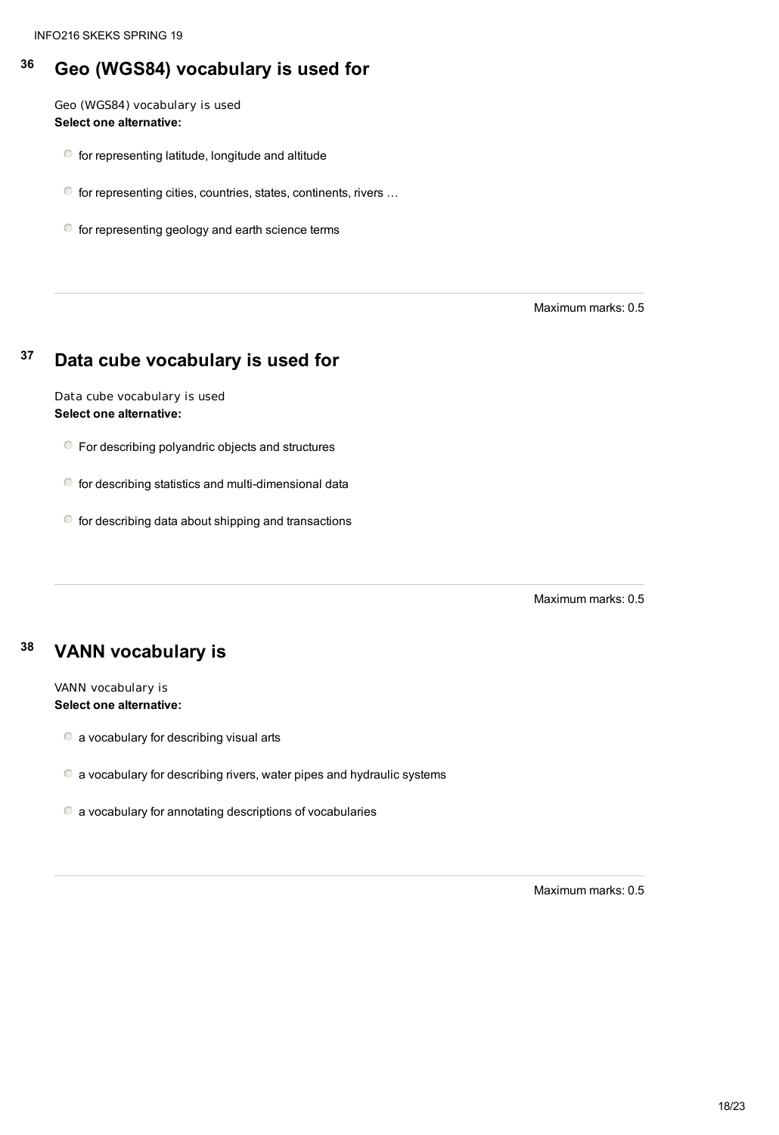### **<sup>36</sup> Geo (WGS84) vocabulary is used for**

- for representing latitude, longitude and altitude
- for representing cities, countries, states, continents, rivers …
- $\bullet$  for representing geology and earth science terms

Geo (WGS84) vocabulary is used **Select one alternative:**

- For describing polyandric objects and structures
- for describing statistics and multi-dimensional data
- $\bullet$  for describing data about shipping and transactions

Maximum marks: 0.5

### **<sup>37</sup> Data cube vocabulary is used for**

Data cube vocabulary is used **Select one alternative:**

Maximum marks: 0.5

### **<sup>38</sup> VANN vocabulary is**

#### VANN vocabulary is **Select one alternative:**

a vocabulary for describing visual arts

a vocabulary for describing rivers, water pipes and hydraulic systems

a vocabulary for annotating descriptions of vocabularies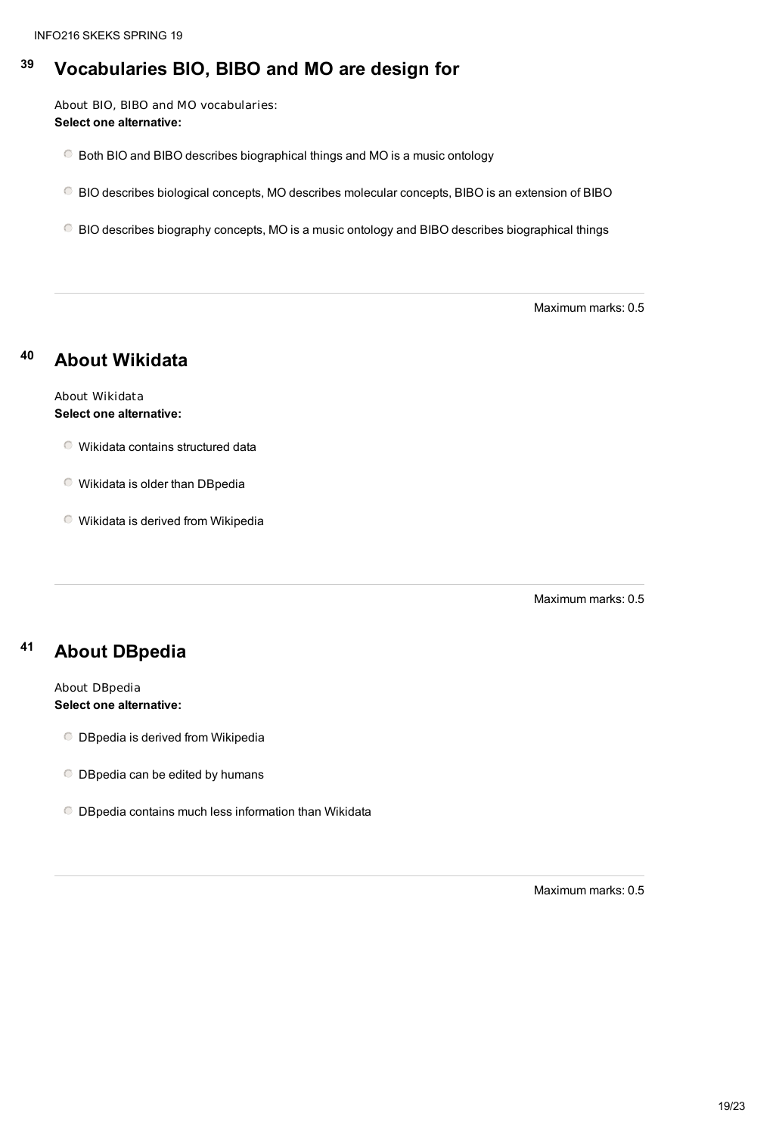### **<sup>39</sup> Vocabularies BIO, BIBO and MO are design for**

About BIO, BIBO and MO vocabularies: **Select one alternative:**

Both BIO and BIBO describes biographical things and MO is a music ontology

BIO describes biological concepts, MO describes molecular concepts, BIBO is an extension of BIBO

BIO describes biography concepts, MO is a music ontology and BIBO describes biographical things

Maximum marks: 0.5

### **<sup>40</sup> About Wikidata**

About Wikidata **Select one alternative:**

Wikidata contains structured data

Wikidata is older than DBpedia

Wikidata is derived from Wikipedia

Maximum marks: 0.5

#### **<sup>41</sup> About DBpedia**

#### About DBpedia **Select one alternative:**

- DBpedia is derived from Wikipedia
- O DBpedia can be edited by humans
- DBpedia contains much less information than Wikidata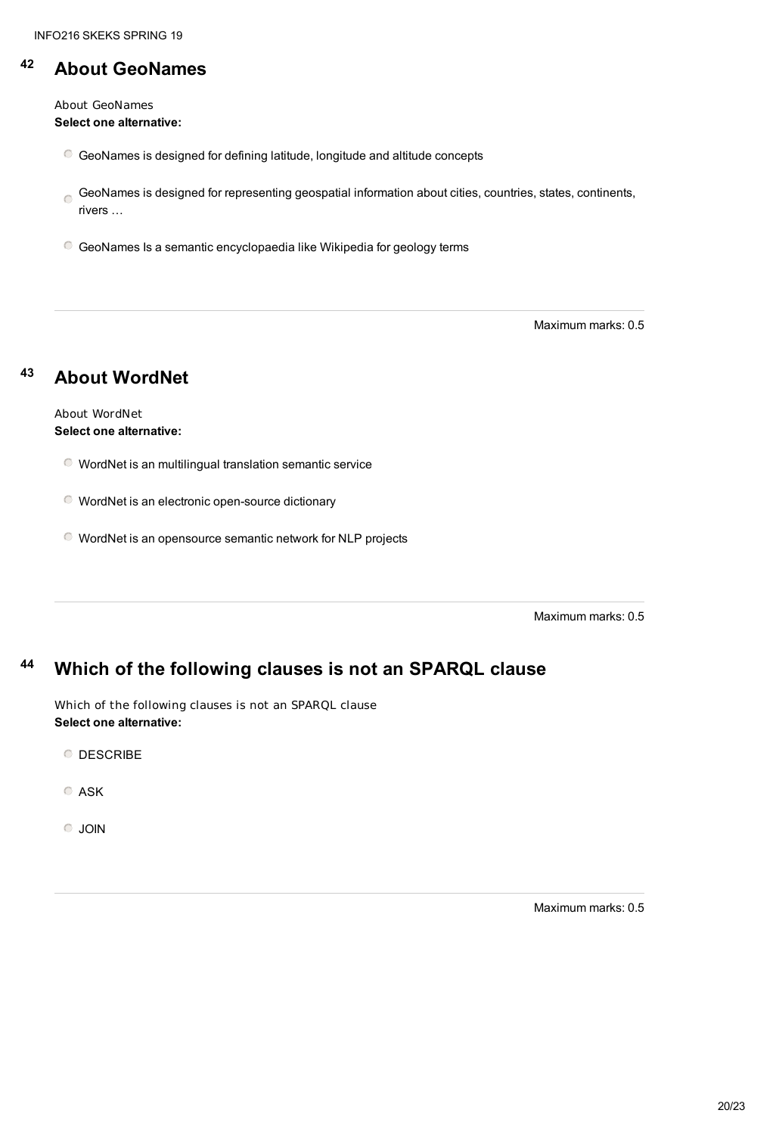#### **<sup>42</sup> About GeoNames**

About GeoNames **Select one alternative:**

- GeoNames is designed for defining latitude, longitude and altitude concepts
- GeoNames is designed for representing geospatial information about cities, countries, states, continents,  $\Box$ rivers …
- GeoNames Is a semantic encyclopaedia like Wikipedia for geology terms

Maximum marks: 0.5

### **<sup>43</sup> About WordNet**

About WordNet **Select one alternative:**

- WordNet is an multilingual translation semantic service
- WordNet is an electronic open-source dictionary
- WordNet is an opensource semantic network for NLP projects

Maximum marks: 0.5

#### **<sup>44</sup> Which of the following clauses is not an SPARQL clause**

Which of the following clauses is not an SPARQL clause **Select one alternative:**

**O** DESCRIBE

ASK

JOIN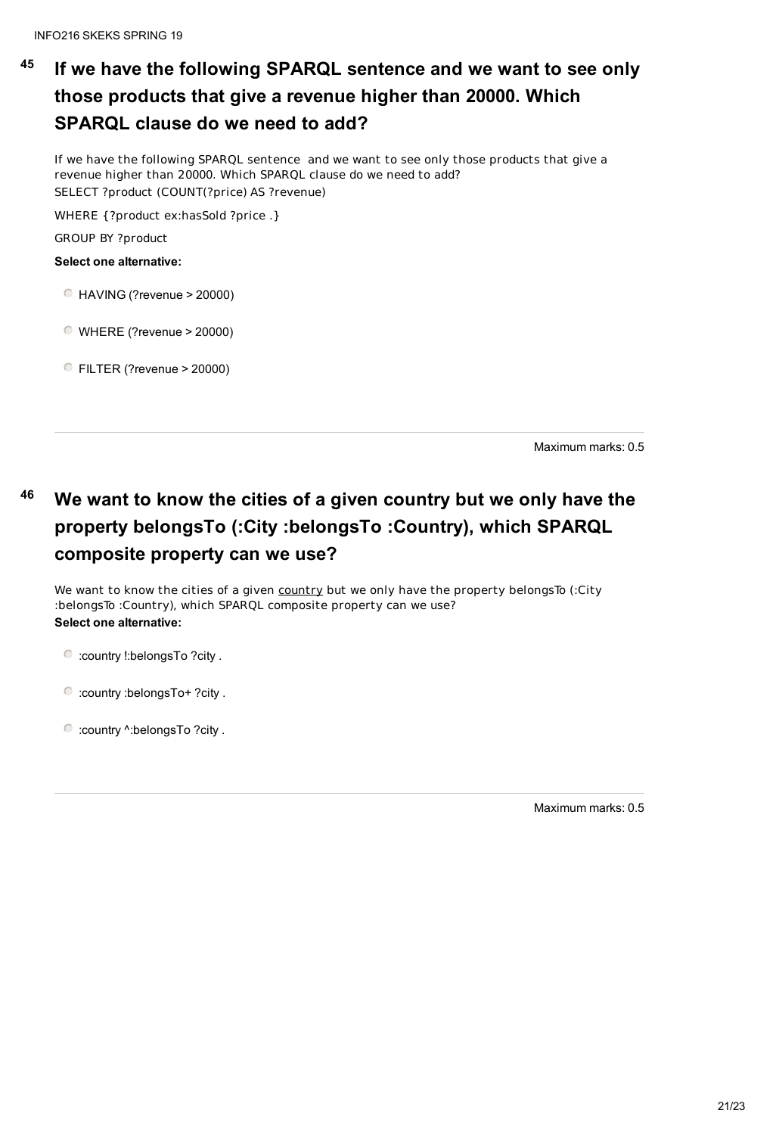#### **45 If we have the following SPARQL sentence and we want to see only those products that give a revenue higher than 20000. Which SPARQL clause do we need to add?**

If we have the following SPARQL sentence and we want to see only those products that give a revenue higher than 20000. Which SPARQL clause do we need to add? SELECT ?product (COUNT(?price) AS ?revenue)

WHERE {?product ex:hasSold ?price .}

GROUP BY ?product

We want to know the cities of a given country but we only have the property belongs To (:City :belongsTo :Country), which SPARQL composite property can we use? **Select one alternative:**

**Select one alternative:**

- HAVING (?revenue > 20000)
- WHERE (?revenue > 20000)
- FILTER (?revenue > 20000)

Maximum marks: 0.5

# **<sup>46</sup> We want to know the cities of a given country but we only have the property belongsTo (:City :belongsTo :Country), which SPARQL composite property can we use?**

:country !:belongsTo ?city .

:country :belongsTo+ ?city .

:country ^:belongsTo ?city .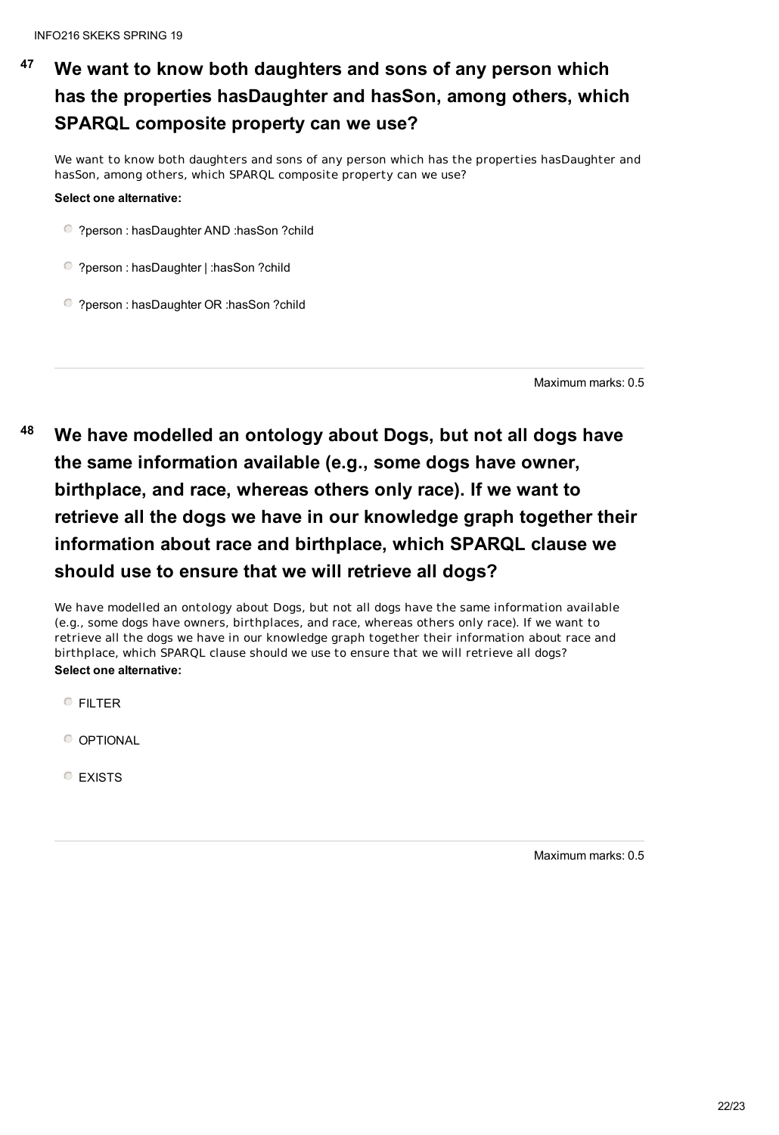# **<sup>47</sup> We want to know both daughters and sons of any person which has the properties hasDaughter and hasSon, among others, which SPARQL composite property can we use?**

We want to know both daughters and sons of any person which has the properties hasDaughter and hasSon, among others, which SPARQL composite property can we use?

#### **Select one alternative:**

?person : hasDaughter AND :hasSon ?child

?person : hasDaughter | :hasSon ?child

?person : hasDaughter OR :hasSon ?child

Maximum marks: 0.5

**<sup>48</sup> We have modelled an ontology about Dogs, but not all dogs have the same information available (e.g., some dogs have owner, birthplace, and race, whereas others only race). If we want to retrieve all the dogs we have in our knowledge graph together their information about race and birthplace, which SPARQL clause we should use to ensure that we will retrieve all dogs?**

We have modelled an ontology about Dogs, but not all dogs have the same information available (e.g., some dogs have owners, birthplaces, and race, whereas others only race). If we want to retrieve all the dogs we have in our knowledge graph together their information about race and birthplace, which SPARQL clause should we use to ensure that we will retrieve all dogs? **Select one alternative:**

FILTER

**O** OPTIONAL

**C** EXISTS